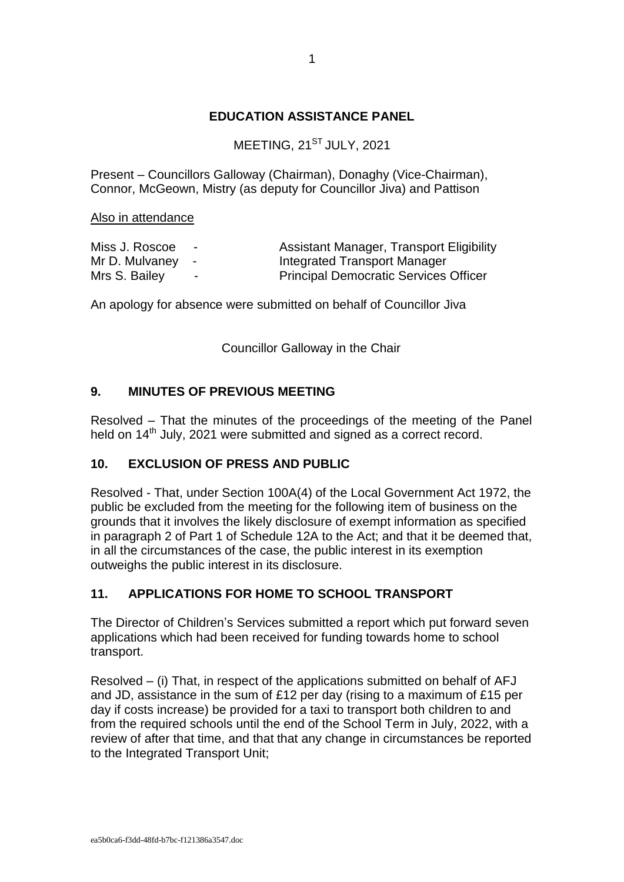## **EDUCATION ASSISTANCE PANEL**

MEETING, 21<sup>ST</sup> JULY, 2021

Present – Councillors Galloway (Chairman), Donaghy (Vice-Chairman), Connor, McGeown, Mistry (as deputy for Councillor Jiva) and Pattison

Also in attendance

| Miss J. Roscoe   | $\sim$         | <b>Assistant Manager, Transport Eligibility</b> |
|------------------|----------------|-------------------------------------------------|
| Mr D. Mulvaney - |                | Integrated Transport Manager                    |
| Mrs S. Bailey    | $\blacksquare$ | <b>Principal Democratic Services Officer</b>    |

An apology for absence were submitted on behalf of Councillor Jiva

Councillor Galloway in the Chair

## **9. MINUTES OF PREVIOUS MEETING**

Resolved – That the minutes of the proceedings of the meeting of the Panel held on 14<sup>th</sup> July, 2021 were submitted and signed as a correct record.

## **10. EXCLUSION OF PRESS AND PUBLIC**

Resolved - That, under Section 100A(4) of the Local Government Act 1972, the public be excluded from the meeting for the following item of business on the grounds that it involves the likely disclosure of exempt information as specified in paragraph 2 of Part 1 of Schedule 12A to the Act; and that it be deemed that, in all the circumstances of the case, the public interest in its exemption outweighs the public interest in its disclosure.

## **11. APPLICATIONS FOR HOME TO SCHOOL TRANSPORT**

The Director of Children's Services submitted a report which put forward seven applications which had been received for funding towards home to school transport.

Resolved – (i) That, in respect of the applications submitted on behalf of AFJ and JD, assistance in the sum of £12 per day (rising to a maximum of £15 per day if costs increase) be provided for a taxi to transport both children to and from the required schools until the end of the School Term in July, 2022, with a review of after that time, and that that any change in circumstances be reported to the Integrated Transport Unit;